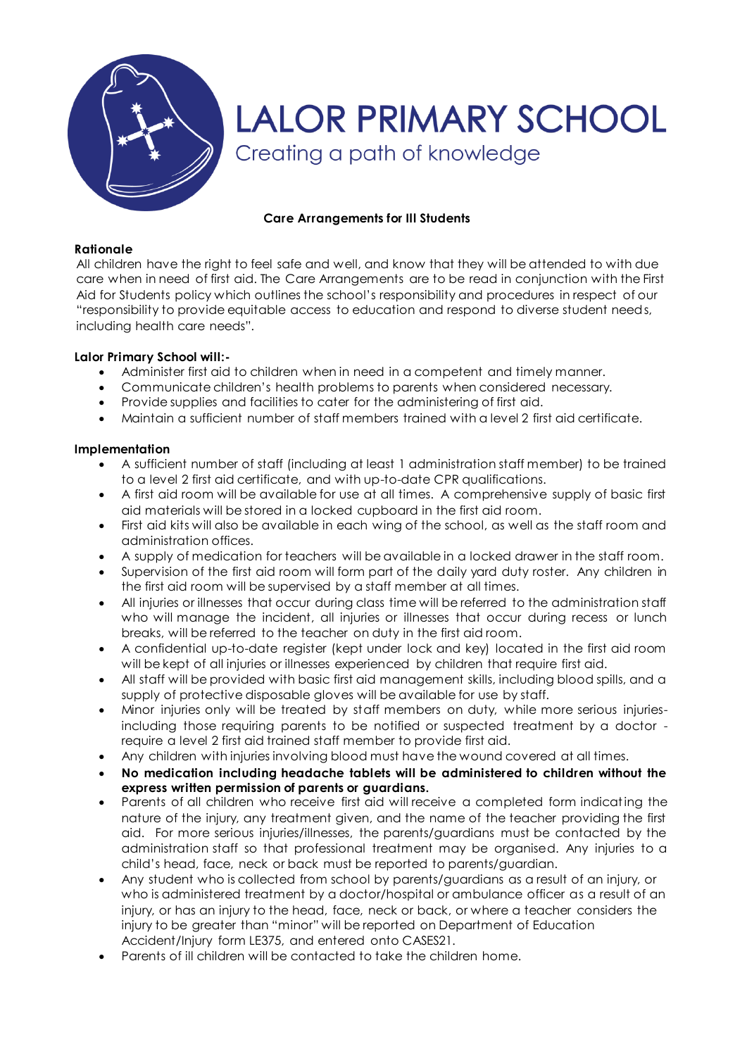

# **Care Arrangements for Ill Students**

#### **Rationale**

All children have the right to feel safe and well, and know that they will be attended to with due care when in need of first aid. The Care Arrangements are to be read in conjunction with the First Aid for Students policy which outlines the school's responsibility and procedures in respect of our "responsibility to provide equitable access to education and respond to diverse student needs, including health care needs".

## **Lalor Primary School will:-**

- Administer first aid to children when in need in a competent and timely manner.
- Communicate children's health problems to parents when considered necessary.
- Provide supplies and facilities to cater for the administering of first aid.
- Maintain a sufficient number of staff members trained with a level 2 first aid certificate.

## **Implementation**

- A sufficient number of staff (including at least 1 administration staff member) to be trained to a level 2 first aid certificate, and with up-to-date CPR qualifications.
- A first aid room will be available for use at all times. A comprehensive supply of basic first aid materials will be stored in a locked cupboard in the first aid room.
- First aid kits will also be available in each wing of the school, as well as the staff room and administration offices.
- A supply of medication for teachers will be available in a locked drawer in the staff room.
- Supervision of the first aid room will form part of the daily yard duty roster. Any children in the first aid room will be supervised by a staff member at all times.
- All injuries or illnesses that occur during class time will be referred to the administration staff who will manage the incident, all injuries or illnesses that occur during recess or lunch breaks, will be referred to the teacher on duty in the first aid room.
- A confidential up-to-date register (kept under lock and key) located in the first aid room will be kept of all injuries or illnesses experienced by children that require first aid.
- All staff will be provided with basic first aid management skills, including blood spills, and a supply of protective disposable gloves will be available for use by staff.
- Minor injuries only will be treated by staff members on duty, while more serious injuriesincluding those requiring parents to be notified or suspected treatment by a doctor require a level 2 first aid trained staff member to provide first aid.
- Any children with injuries involving blood must have the wound covered at all times.
- **No medication including headache tablets will be administered to children without the express written permission of parents or guardians.**
- Parents of all children who receive first aid will receive a completed form indicating the nature of the injury, any treatment given, and the name of the teacher providing the first aid. For more serious injuries/illnesses, the parents/guardians must be contacted by the administration staff so that professional treatment may be organised. Any injuries to a child's head, face, neck or back must be reported to parents/guardian.
- Any student who is collected from school by parents/guardians as a result of an injury, or who is administered treatment by a doctor/hospital or ambulance officer as a result of an injury, or has an injury to the head, face, neck or back, or where a teacher considers the injury to be greater than "minor" will be reported on Department of Education Accident/Injury form LE375, and entered onto CASES21.
- Parents of ill children will be contacted to take the children home.